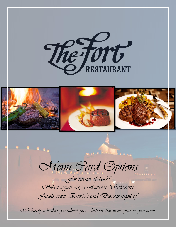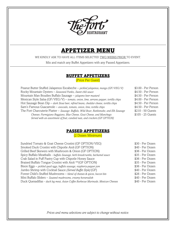

# APPETIZER MENU

WE KINDLY ASK TO HAVE ALL ITEMS SELECTED TWO WEEKS PRIOR TO EVENT.

Mix and match any Buffet Appetizers with any Passed Appetizers.

#### BUFFET APPETIZERS

(Price Per Guest)

| Peanut Butter Stuffed Jalapenos Escabeche - pickled jalapenos, mango (GF/VEG/V)          | \$3.00 - Per Person |
|------------------------------------------------------------------------------------------|---------------------|
| Rocky Mountain Oysters - Seasoned Panko, Sweet chili sauce                               | \$4.50 - Per Person |
| Mountain Man Boudies Buffalo Sausage - jalapeno beer mustard                             | \$4.50 - Per Person |
| Mexican Style Salsa (GF/VEG/V) - tomato, onion, lime, serrano pepper, tortilla chips     | \$4.00 - Per Person |
| Hot Sausage Bean $Dip$ – dark Stout beer, refried beans, cheddar cheese, tortilla chips  | \$4.50 - Per Person |
| Sam's Famous Guacamole - avocado, tomato, onion, lime, tortilla chips                    | \$4.50 - Per Person |
| The Fort Charcuterie Platter - Sausage: Buffalo, Wild Boar, Rattlesnake, and Elk Sausage | \$210 - 50 Guests   |
| Cheeses: Parmigiano Reggiano, Blue Cheese, Goat Cheese, and Manchego                     | \$105 - 25 Guests   |
| Served with an assortment of fruit, candied nuts, and crackers (GF OPTION)               |                     |

### PASSED APPETIZERS

(2 Dozen Minimum)

| Sundried Tomato & Goat Cheese Crostini (GF OPTION/VEG)                            | \$30 - Per Dozen |
|-----------------------------------------------------------------------------------|------------------|
| Smoked Duck Crostini with Chipotle Aioli (GF OPTION)                              | \$40 - Per Dozen |
| Grilled Beef Skewers with Mushroom & Onion (GF OPTION)                            | \$36 - Per Dozen |
| Spicy Buffalo Meatballs - buffalo Sausage, herb breadcrumbs, bechamel sauce       | \$35 - Per Dozen |
| Crab Salad in Puff Pastry Cup with Chipotle Honey Sauce                           | \$36 - Per Dozen |
| Braised Buffalo Tongue Crostini with Aioli ** (GF OPTION)                         | \$35 - Per Dozen |
| Bison Eggs - pickled quail eggs, buffalo sausage, raspberry-pepper jam            | \$36 - Per Dozen |
| Jumbo Shrimp with Cocktail Sauce (Served Buffet Style) (GF)                       | \$40 - Per Dozen |
| Forest Child's Stuffed Mushrooms - blend of cheeses & spices, bacon bits          | \$26 - Per Dozen |
| Mini Buffalo Sliders - Sauteed mushrooms, creamy horseradish                      | \$40 - Per Dozen |
| Duck Quesadillas - duck leg meat, Asian Coffee Barbecue Marinade, Mexican Cheeses | \$40 - Per Dozen |
|                                                                                   |                  |

*Prices and menu selections are subject to change without notice.*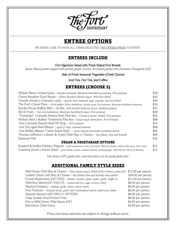

# ENTREE OPTIONS

WE KINDLY ASK TO HAVE ALL ITEMS SELECTED TWO WEEKS PRIOR TO EVENT.

# ENTREES INCLUDE

#### Fort Signature Salad with Fresh Baked Fort Breads

*Salad: Mixed greens topped with pickled ginger, jicama, & toasted pepitas with Damiana Vinaigrette (GF)*

Side of Fresh Seasonal Vegetable (Chefs Choice)

#### Iced Tea, Hot Tea, and Coffee

# ENTREES (CHOOSE 5)

| William Bent's Grilled Quail - teriyaki marinade, Montana huckleberry preserves, Fort potatoes                           | \$39 |
|--------------------------------------------------------------------------------------------------------------------------|------|
| Cherry Bourbon Duck Breast - Cherry Bourbon Shallot Sauce, Wild Rice Blend                                               | \$42 |
| General Armijo's Colorado Lamb – quarter rack, mustard, sage, paprika, wild rice blend                                   | \$59 |
| The Fort's Game Plate $-E$ lk & Buffalo Sirloin Medallions, teriyaki quail, Fort potatoes, Montana huckleberry preserves | \$59 |
| Smoke House Buffalo Ribs - Six Ribs, Jack Daniels barbecue sauce, mashed potatoes                                        | \$55 |
| Elk St. Vrain $-$ Two 4oz medallions, Montana huckleberry sauce, Fort potatoes                                           | \$49 |
| "Tenderlips" Colorado Natural Beef Filet 60z - Carved in house, Grilled, Fort potatoes                                   | \$62 |
| William Bent's Buffalo Tenderloin Filet 80z - house made chimichurri, Fort Potatoes                                      | \$68 |
| 14oz Colorado Natural Beef NY Strip - Fort potatoes                                                                      | \$54 |
| 12oz Dry-aged Beef Ribeye - aged 21 days, mashed potatoes                                                                | \$68 |
| 12oz Buffalo Ribeye "Carne Asada Style" - citrus chipotle marinade, mashed potatoes                                      | \$62 |
| Thomas Jefferson's Lobster & Green Chile Mac n' Cheese - 4oz lobster claw and knuckle                                    | \$56 |
| Seasonal Fish                                                                                                            | \$42 |
|                                                                                                                          |      |

#### VEGAN & VEGETARIAN OPTIONS

 Roasted & Stuffed Pablano Peppers – *wild mushroom risotto, succotash, Mexican cheeses, Dixon chile sauce, lime crème* \$32 Charlotte Green's Entrée Salad – *goat cheese, jicama, candied walnuts, pickled ginger, dried berries, choice of dressing* \$22

*Our menu is 95% gluten free, and most items can be made gluten free.* 

### ADDITIONAL FAMILY STYLE SIDES

| Mild Green Chili Mac & Cheese - Greer cheese sauce, blend of Fort cheeses, green chili | \$12.00 per person |
|----------------------------------------------------------------------------------------|--------------------|
| Lobster Green chili Mac & Cheese - 8oz lobster claw and knuckle meat added             | \$39.00 per person |
| Forest Mushrooms (GF/VEG) - shitake, cremini, oyster, butter, garlic, truffle oil      | \$12.00 per person |
| Wild Rice Blend (GF/VEG/V) - mixed wild rice, sage, carrots, celery                    | \$8.00 per person  |
| Mashed Potatoes - shallots, garlic, butter, heavy cream                                | \$6.00 per person  |
| Fort Potatoes - Anasazi beans, green chili, caramelized onions, white corn, butter     | \$6.00 per person  |
| Sauteed Spinach (GF/VEG/V OPTION)                                                      | \$6.00 per person  |
| Crisp Double Fried French Fries                                                        | \$8.00 per person  |
| Hot or Mild Green Chile Sauce (GF)                                                     | \$4.00 per person  |
| Red Dixon Chile Gravy                                                                  | \$4.00 per person  |
|                                                                                        |                    |

*Prices and menu selections are subject to change without notice.*